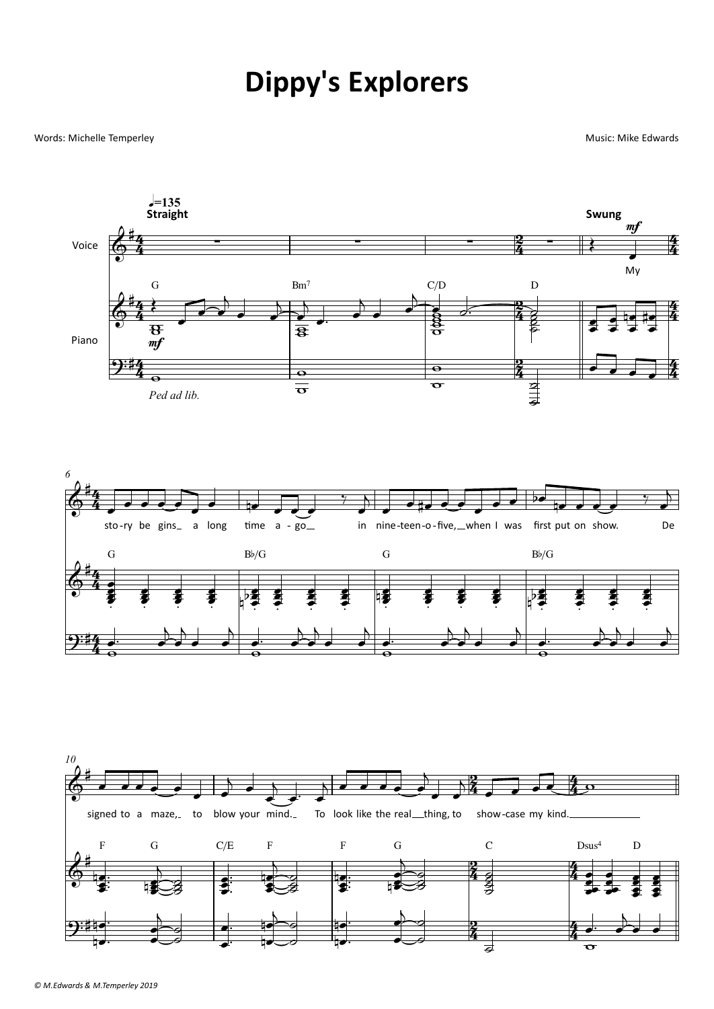## **Dippy's Explorers**

## Words: Michelle Temperley

Music: Mike Edwards



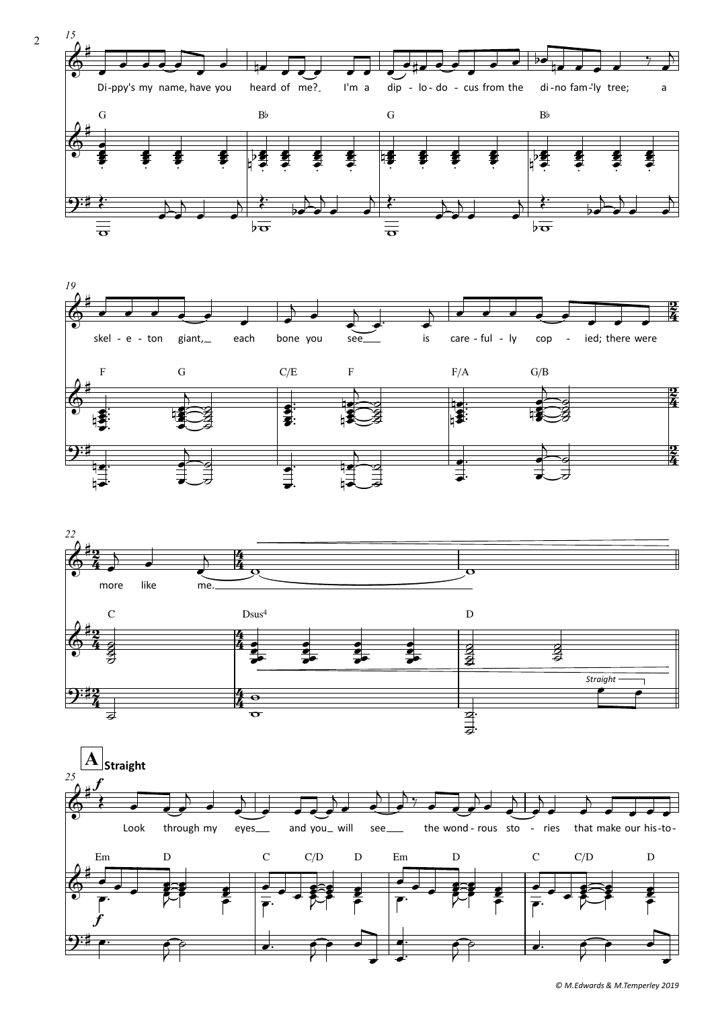







© M.Edwards & M.Temperley 2019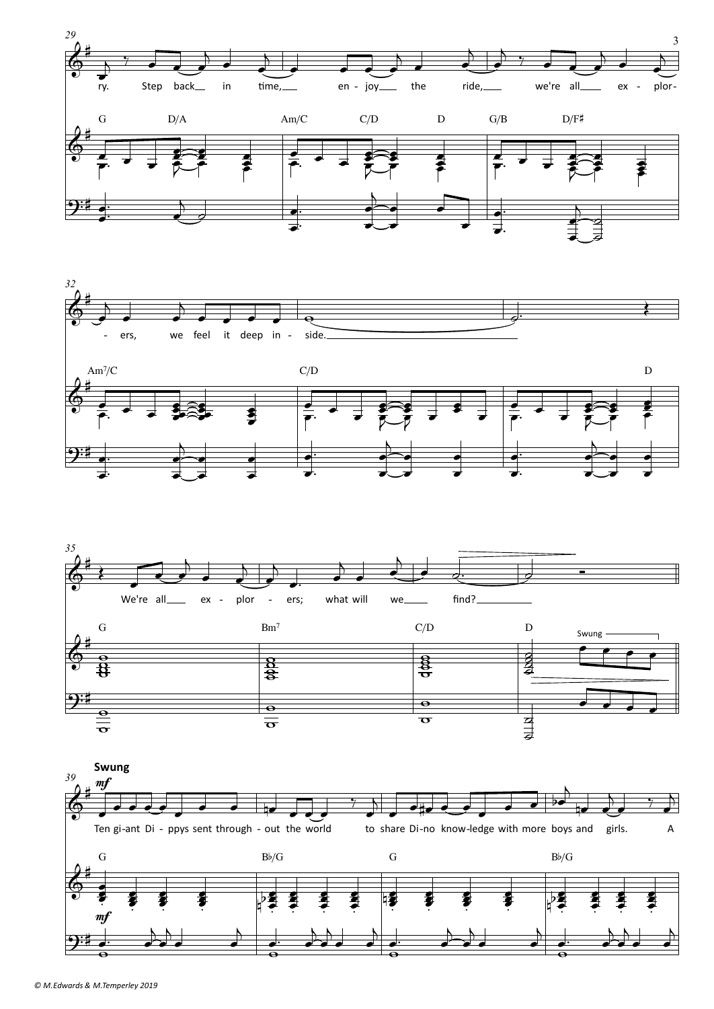





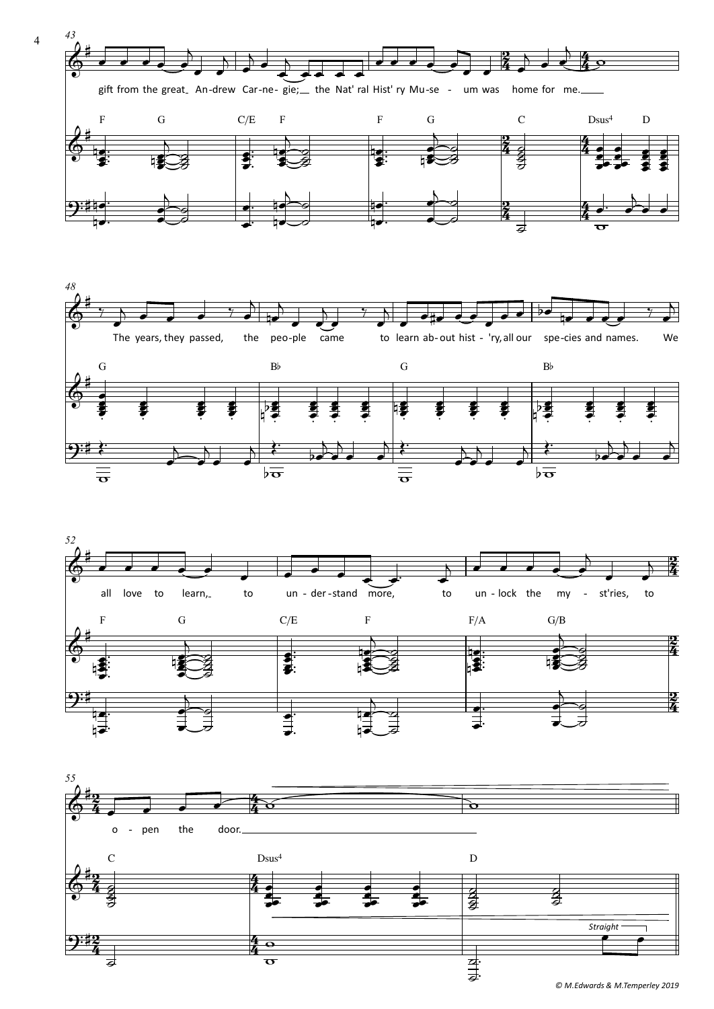







© M.Edwards & M.Temperley 2019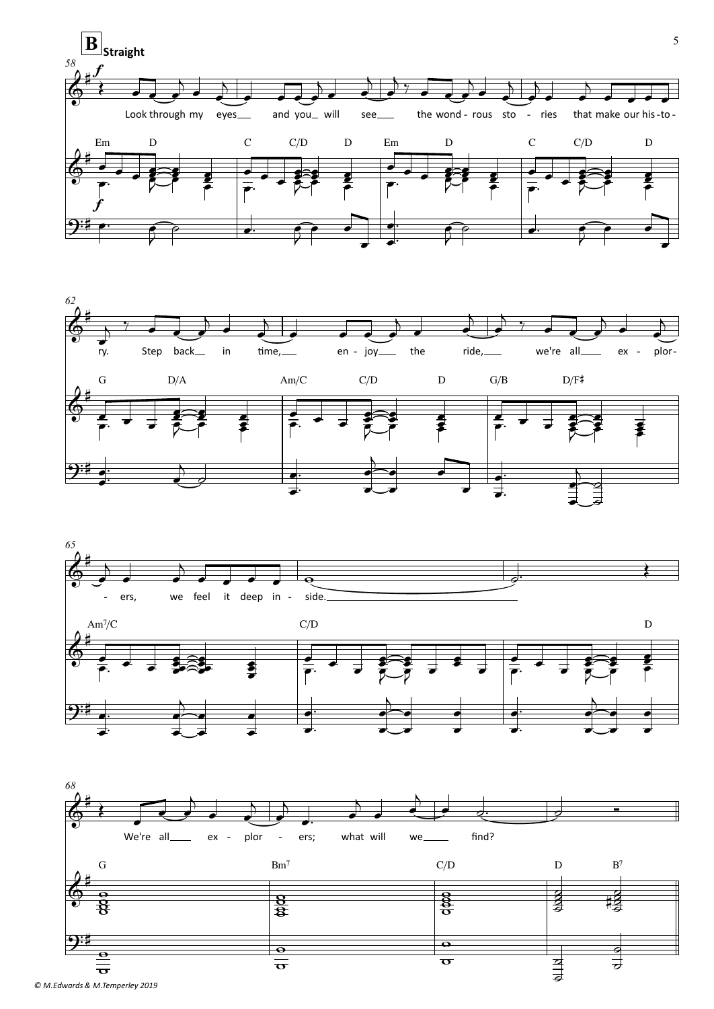





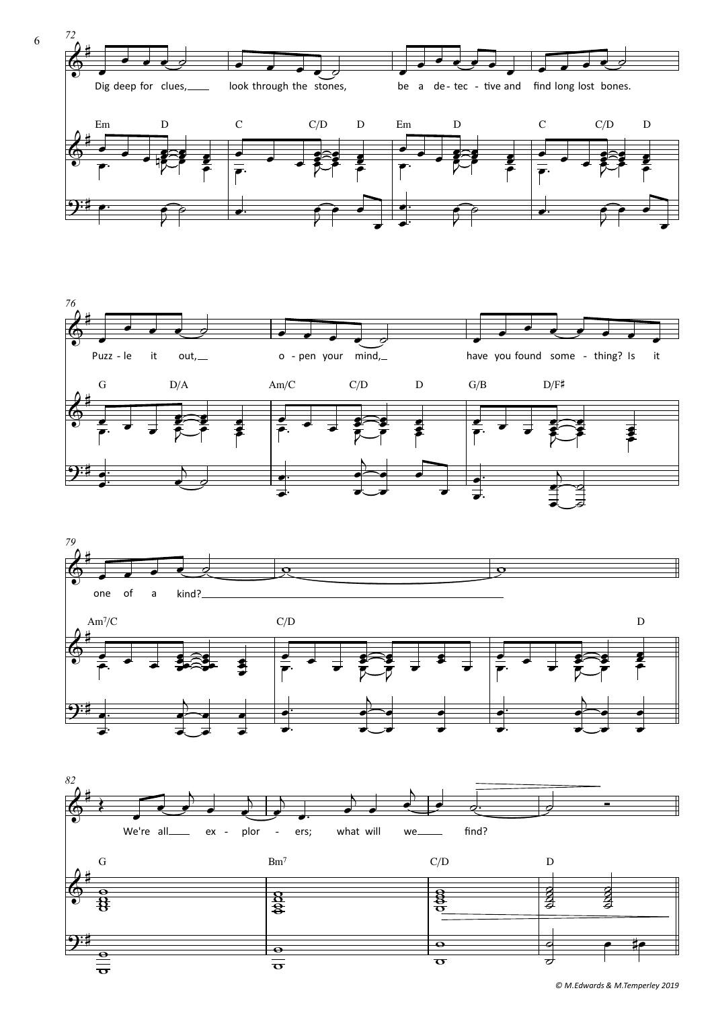







6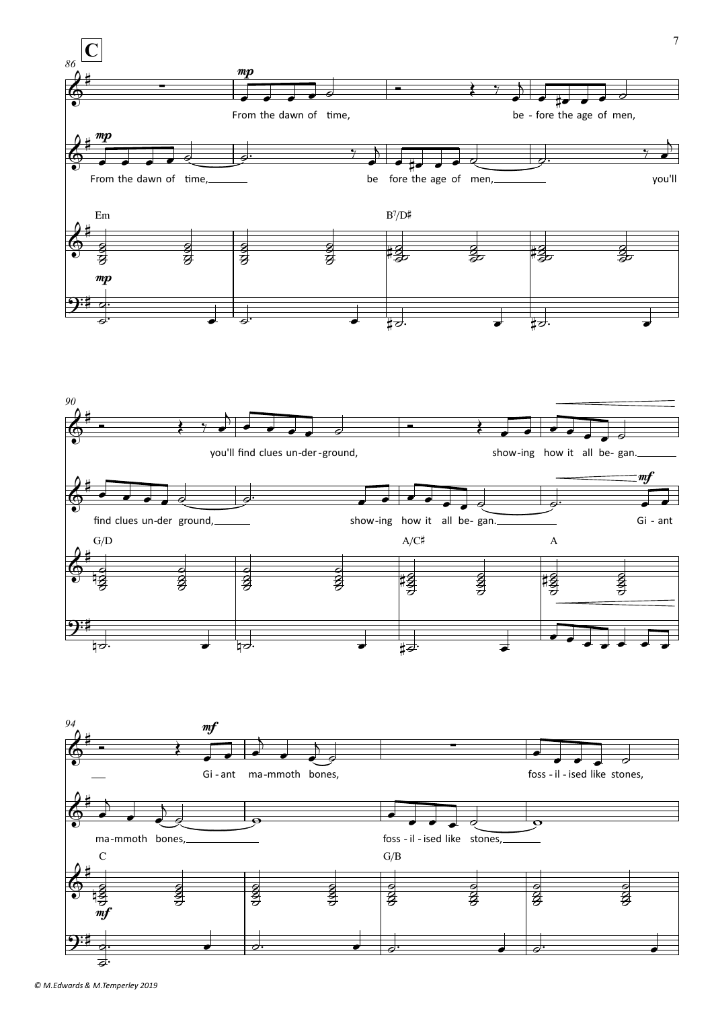



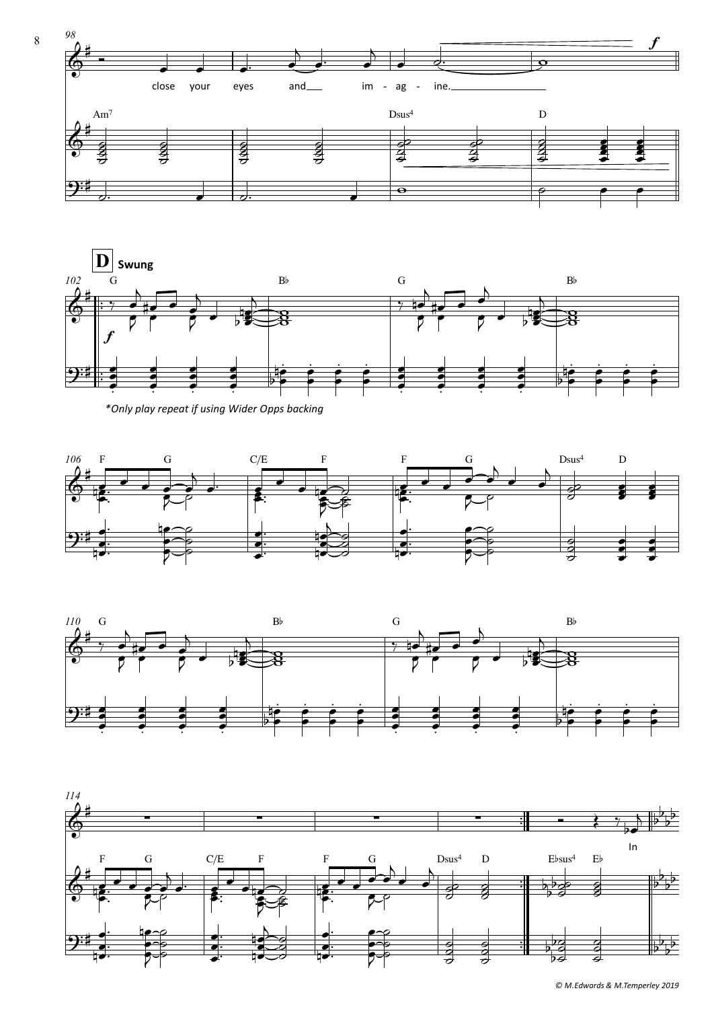



*\*Only play repeat if using Wider Opps backing*





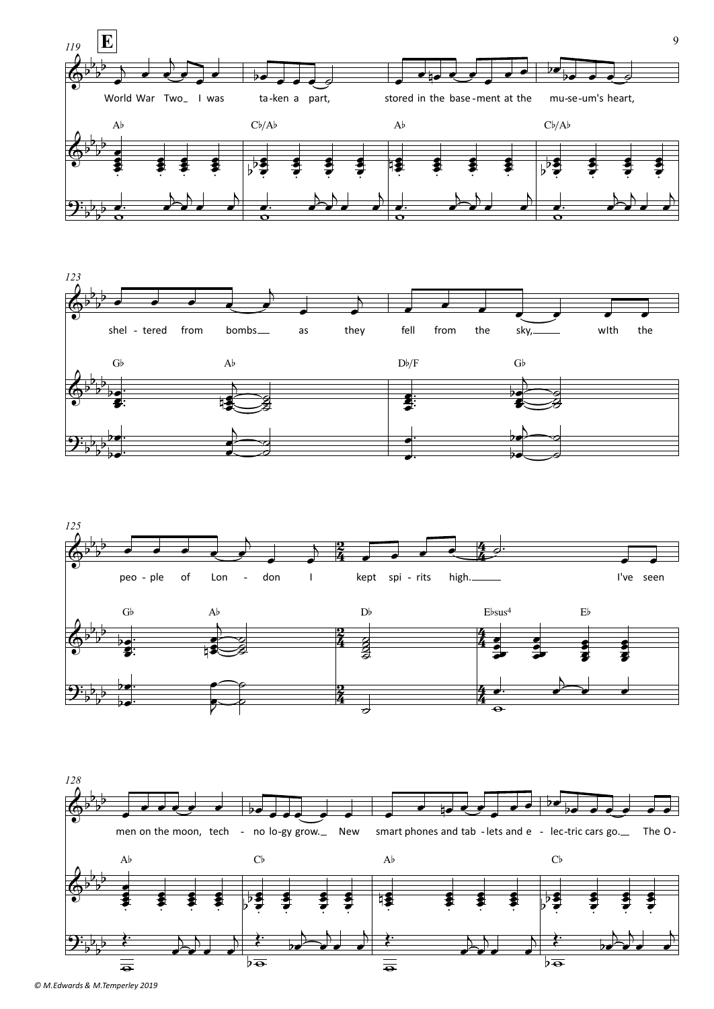





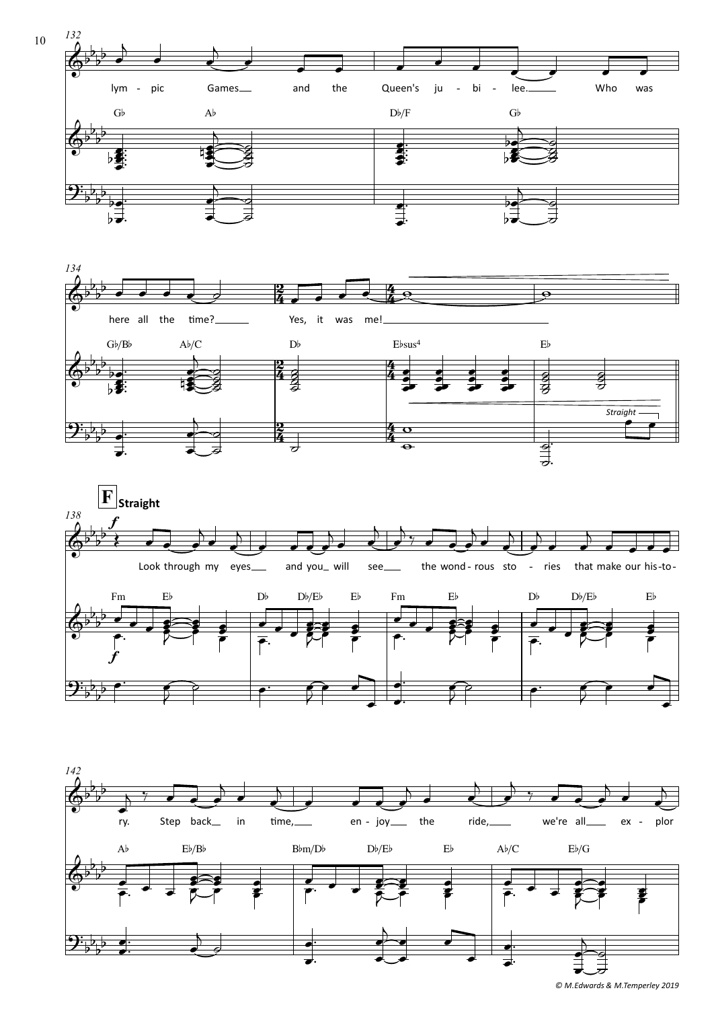







*© M.Edwards & M.Temperley 2019*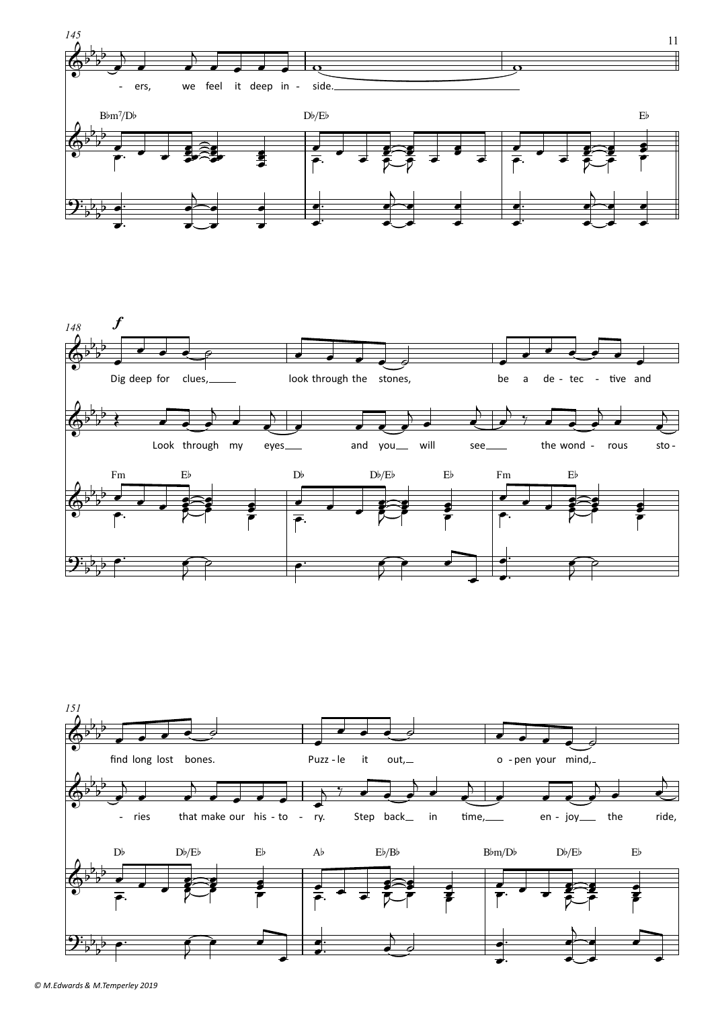



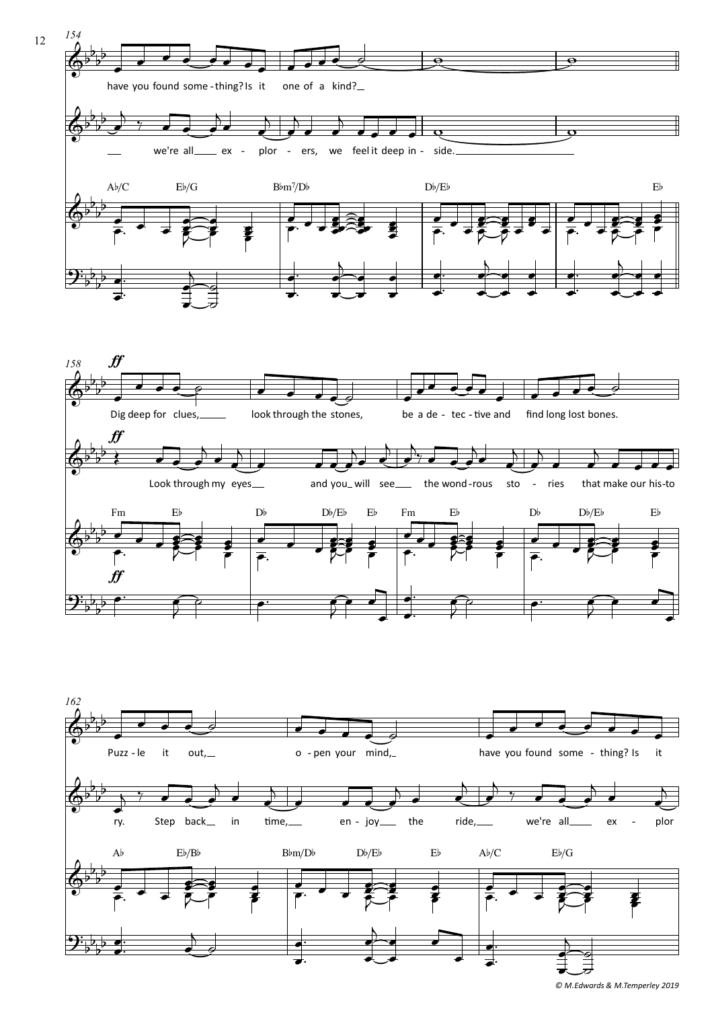





*<sup>©</sup> M.Edwards & M.Temperley 2019*